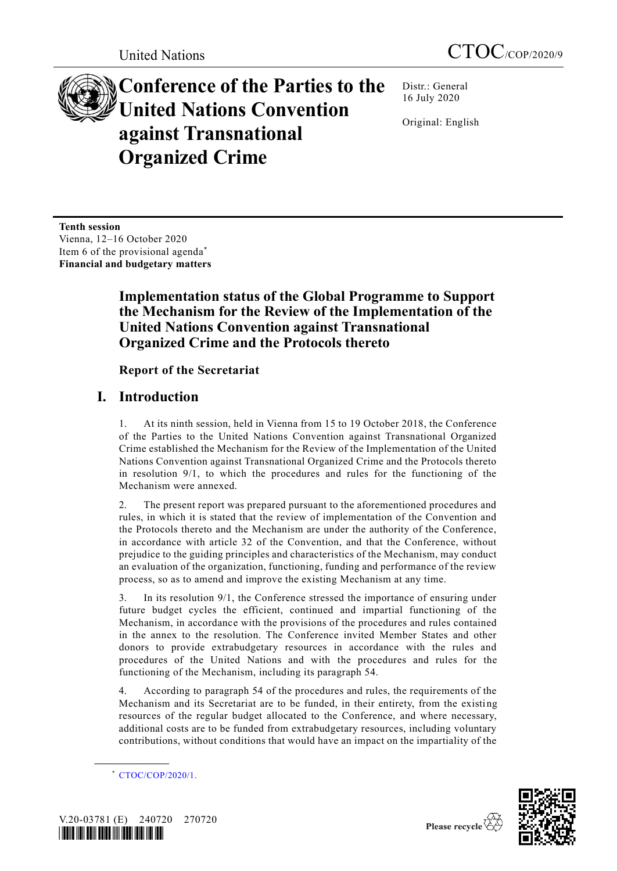

**Conference of the Parties to the United Nations Convention against Transnational Organized Crime**

Distr.: General 16 July 2020

Original: English

**Tenth session** Vienna, 12–16 October 2020 Item 6 of the provisional agenda\* **Financial and budgetary matters**

# **Implementation status of the Global Programme to Support the Mechanism for the Review of the Implementation of the United Nations Convention against Transnational Organized Crime and the Protocols thereto**

### **Report of the Secretariat**

# **I. Introduction**

1. At its ninth session, held in Vienna from 15 to 19 October 2018, the Conference of the Parties to the United Nations Convention against Transnational Organized Crime established the Mechanism for the Review of the Implementation of the United Nations Convention against Transnational Organized Crime and the Protocols thereto in resolution 9/1, to which the procedures and rules for the functioning of the Mechanism were annexed.

2. The present report was prepared pursuant to the aforementioned procedures and rules, in which it is stated that the review of implementation of the Convention and the Protocols thereto and the Mechanism are under the authority of the Conference, in accordance with article 32 of the Convention, and that the Conference, without prejudice to the guiding principles and characteristics of the Mechanism, may conduct an evaluation of the organization, functioning, funding and performance of the review process, so as to amend and improve the existing Mechanism at any time.

In its resolution 9/1, the Conference stressed the importance of ensuring under future budget cycles the efficient, continued and impartial functioning of the Mechanism, in accordance with the provisions of the procedures and rules contained in the annex to the resolution. The Conference invited Member States and other donors to provide extrabudgetary resources in accordance with the rules and procedures of the United Nations and with the procedures and rules for the functioning of the Mechanism, including its paragraph 54.

4. According to paragraph 54 of the procedures and rules, the requirements of the Mechanism and its Secretariat are to be funded, in their entirety, from the existing resources of the regular budget allocated to the Conference, and where necessary, additional costs are to be funded from extrabudgetary resources, including voluntary contributions, without conditions that would have an impact on the impartiality of the

<sup>\*</sup> [CTOC/COP/2020/1.](http://undocs.org/CTOC/COP/2020/1)



**\_\_\_\_\_\_\_\_\_\_\_\_\_\_\_\_\_\_**

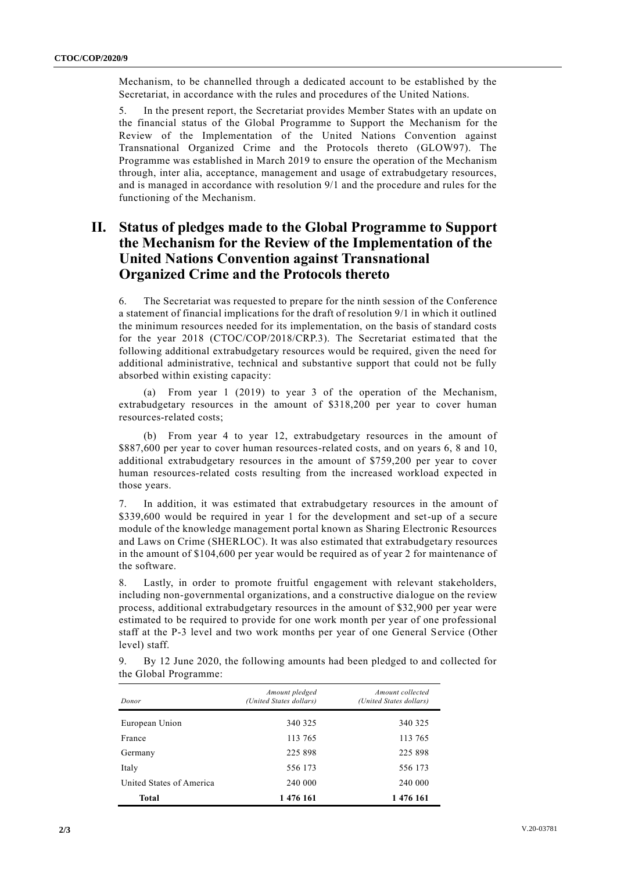Mechanism, to be channelled through a dedicated account to be established by the Secretariat, in accordance with the rules and procedures of the United Nations.

5. In the present report, the Secretariat provides Member States with an update on the financial status of the Global Programme to Support the Mechanism for the Review of the Implementation of the United Nations Convention against Transnational Organized Crime and the Protocols thereto (GLOW97). The Programme was established in March 2019 to ensure the operation of the Mechanism through, inter alia, acceptance, management and usage of extrabudgetary resources, and is managed in accordance with resolution 9/1 and the procedure and rules for the functioning of the Mechanism.

### **II. Status of pledges made to the Global Programme to Support the Mechanism for the Review of the Implementation of the United Nations Convention against Transnational Organized Crime and the Protocols thereto**

6. The Secretariat was requested to prepare for the ninth session of the Conference a statement of financial implications for the draft of resolution 9/1 in which it outlined the minimum resources needed for its implementation, on the basis of standard costs for the year 2018 (CTOC/COP/2018/CRP.3). The Secretariat estima ted that the following additional extrabudgetary resources would be required, given the need for additional administrative, technical and substantive support that could not be fully absorbed within existing capacity:

(a) From year 1 (2019) to year 3 of the operation of the Mechanism, extrabudgetary resources in the amount of \$318,200 per year to cover human resources-related costs;

(b) From year 4 to year 12, extrabudgetary resources in the amount of \$887,600 per year to cover human resources-related costs, and on years 6, 8 and 10, additional extrabudgetary resources in the amount of \$759,200 per year to cover human resources-related costs resulting from the increased workload expected in those years.

7. In addition, it was estimated that extrabudgetary resources in the amount of \$339,600 would be required in year 1 for the development and set-up of a secure module of the knowledge management portal known as Sharing Electronic Resources and Laws on Crime (SHERLOC). It was also estimated that extrabudgetary resources in the amount of \$104,600 per year would be required as of year 2 for maintenance of the software.

8. Lastly, in order to promote fruitful engagement with relevant stakeholders, including non-governmental organizations, and a constructive dialogue on the review process, additional extrabudgetary resources in the amount of \$32,900 per year were estimated to be required to provide for one work month per year of one professional staff at the P-3 level and two work months per year of one General Service (Other level) staff.

| Donor                    | Amount pledged<br>(United States dollars) | Amount collected<br>(United States dollars) |
|--------------------------|-------------------------------------------|---------------------------------------------|
| European Union           | 340 325                                   | 340 325                                     |
| France                   | 113 765                                   | 113 765                                     |
| Germany                  | 225 898                                   | 225 898                                     |
| Italy                    | 556 173                                   | 556 173                                     |
| United States of America | 240 000                                   | 240 000                                     |
| Total                    | 1 476 161                                 | 1 476 161                                   |

9. By 12 June 2020, the following amounts had been pledged to and collected for the Global Programme: